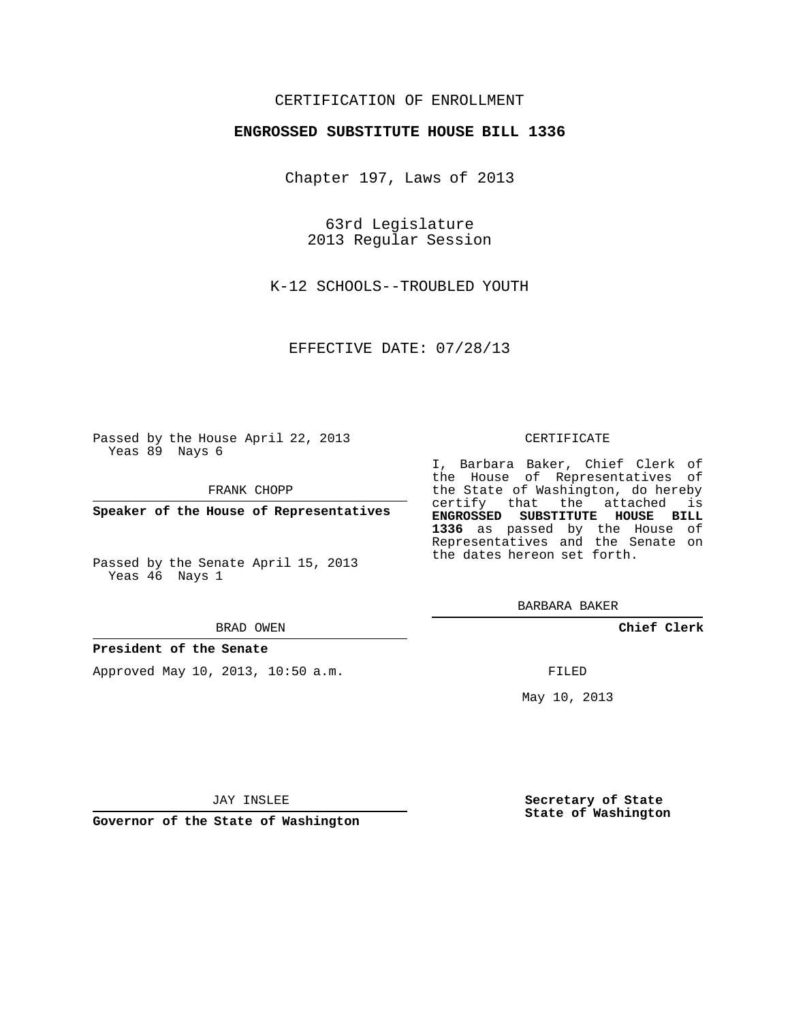# CERTIFICATION OF ENROLLMENT

## **ENGROSSED SUBSTITUTE HOUSE BILL 1336**

Chapter 197, Laws of 2013

63rd Legislature 2013 Regular Session

K-12 SCHOOLS--TROUBLED YOUTH

EFFECTIVE DATE: 07/28/13

Passed by the House April 22, 2013 Yeas 89 Nays 6

FRANK CHOPP

**Speaker of the House of Representatives**

Passed by the Senate April 15, 2013 Yeas 46 Nays 1

#### BRAD OWEN

### **President of the Senate**

Approved May 10, 2013, 10:50 a.m.

#### CERTIFICATE

I, Barbara Baker, Chief Clerk of the House of Representatives of the State of Washington, do hereby certify that the attached is **ENGROSSED SUBSTITUTE HOUSE BILL 1336** as passed by the House of Representatives and the Senate on the dates hereon set forth.

BARBARA BAKER

**Chief Clerk**

FILED

May 10, 2013

**Governor of the State of Washington**

JAY INSLEE

**Secretary of State State of Washington**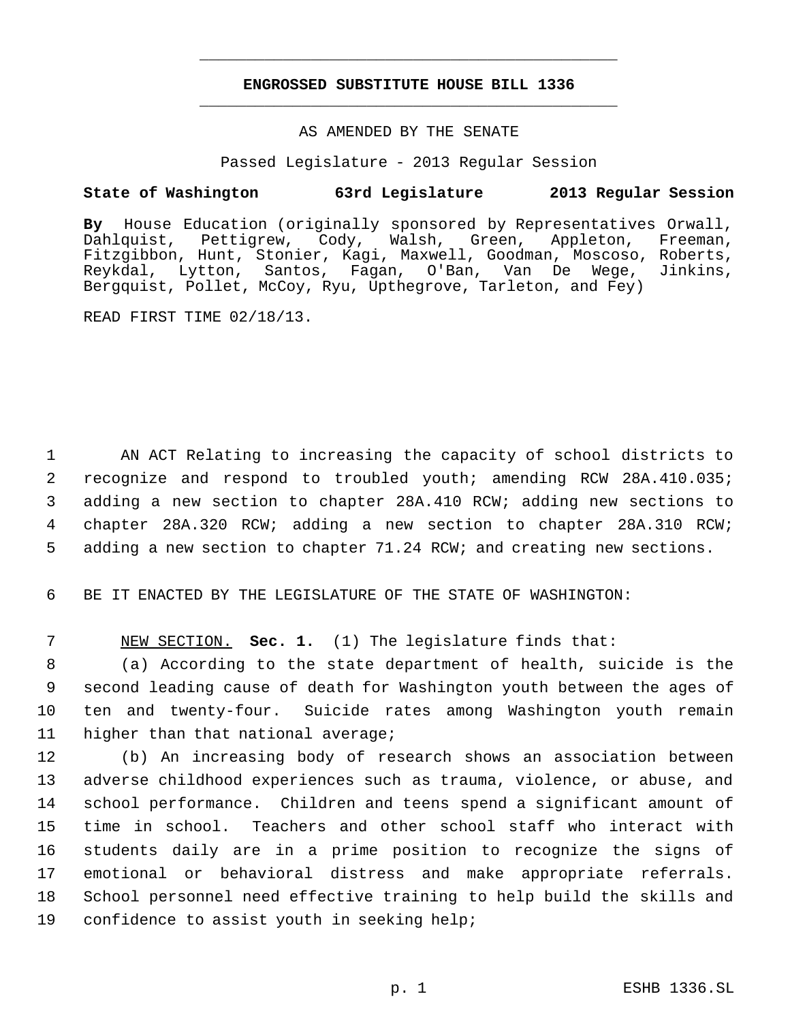# **ENGROSSED SUBSTITUTE HOUSE BILL 1336** \_\_\_\_\_\_\_\_\_\_\_\_\_\_\_\_\_\_\_\_\_\_\_\_\_\_\_\_\_\_\_\_\_\_\_\_\_\_\_\_\_\_\_\_\_

\_\_\_\_\_\_\_\_\_\_\_\_\_\_\_\_\_\_\_\_\_\_\_\_\_\_\_\_\_\_\_\_\_\_\_\_\_\_\_\_\_\_\_\_\_

## AS AMENDED BY THE SENATE

Passed Legislature - 2013 Regular Session

# **State of Washington 63rd Legislature 2013 Regular Session**

**By** House Education (originally sponsored by Representatives Orwall, Dahlquist, Pettigrew, Cody, Fitzgibbon, Hunt, Stonier, Kagi, Maxwell, Goodman, Moscoso, Roberts, Reykdal, Lytton, Santos, Fagan, O'Ban, Van De Wege, Jinkins, Bergquist, Pollet, McCoy, Ryu, Upthegrove, Tarleton, and Fey)

READ FIRST TIME 02/18/13.

 AN ACT Relating to increasing the capacity of school districts to recognize and respond to troubled youth; amending RCW 28A.410.035; adding a new section to chapter 28A.410 RCW; adding new sections to chapter 28A.320 RCW; adding a new section to chapter 28A.310 RCW; adding a new section to chapter 71.24 RCW; and creating new sections.

6 BE IT ENACTED BY THE LEGISLATURE OF THE STATE OF WASHINGTON:

7 NEW SECTION. **Sec. 1.** (1) The legislature finds that:

 (a) According to the state department of health, suicide is the second leading cause of death for Washington youth between the ages of ten and twenty-four. Suicide rates among Washington youth remain higher than that national average;

 (b) An increasing body of research shows an association between adverse childhood experiences such as trauma, violence, or abuse, and school performance. Children and teens spend a significant amount of time in school. Teachers and other school staff who interact with students daily are in a prime position to recognize the signs of emotional or behavioral distress and make appropriate referrals. School personnel need effective training to help build the skills and confidence to assist youth in seeking help;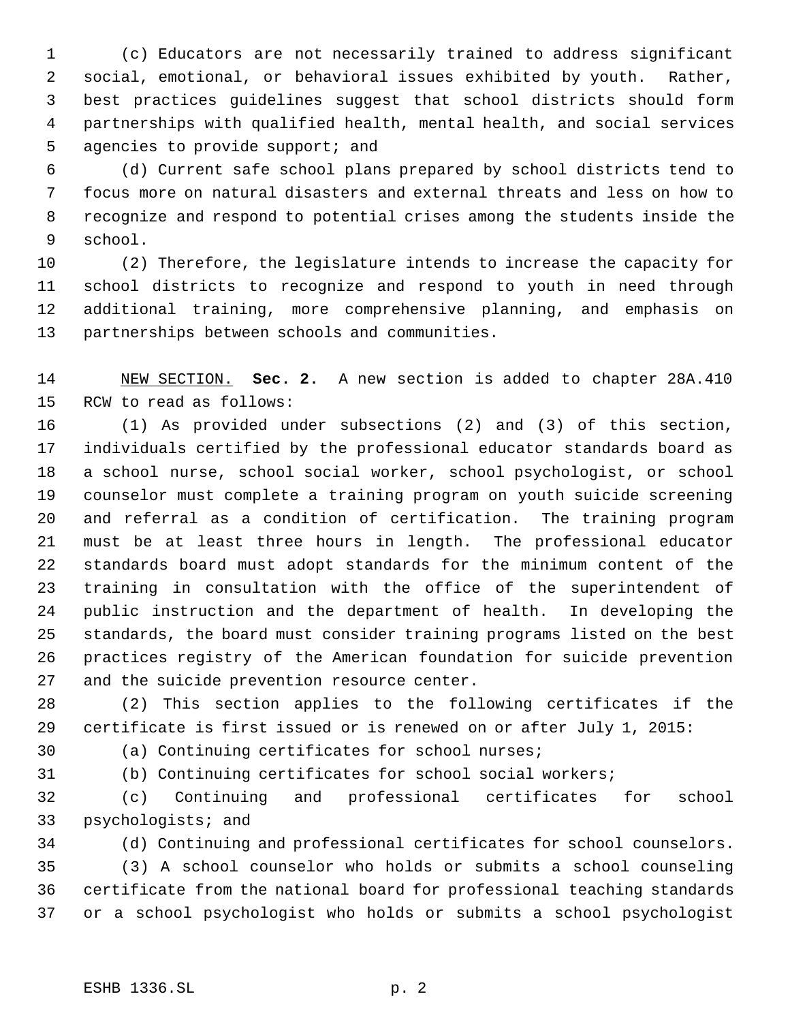(c) Educators are not necessarily trained to address significant social, emotional, or behavioral issues exhibited by youth. Rather, best practices guidelines suggest that school districts should form partnerships with qualified health, mental health, and social services 5 agencies to provide support; and

 (d) Current safe school plans prepared by school districts tend to focus more on natural disasters and external threats and less on how to recognize and respond to potential crises among the students inside the school.

 (2) Therefore, the legislature intends to increase the capacity for school districts to recognize and respond to youth in need through additional training, more comprehensive planning, and emphasis on partnerships between schools and communities.

 NEW SECTION. **Sec. 2.** A new section is added to chapter 28A.410 RCW to read as follows:

 (1) As provided under subsections (2) and (3) of this section, individuals certified by the professional educator standards board as a school nurse, school social worker, school psychologist, or school counselor must complete a training program on youth suicide screening and referral as a condition of certification. The training program must be at least three hours in length. The professional educator standards board must adopt standards for the minimum content of the training in consultation with the office of the superintendent of public instruction and the department of health. In developing the standards, the board must consider training programs listed on the best practices registry of the American foundation for suicide prevention and the suicide prevention resource center.

 (2) This section applies to the following certificates if the certificate is first issued or is renewed on or after July 1, 2015:

(a) Continuing certificates for school nurses;

(b) Continuing certificates for school social workers;

 (c) Continuing and professional certificates for school psychologists; and

(d) Continuing and professional certificates for school counselors.

 (3) A school counselor who holds or submits a school counseling certificate from the national board for professional teaching standards or a school psychologist who holds or submits a school psychologist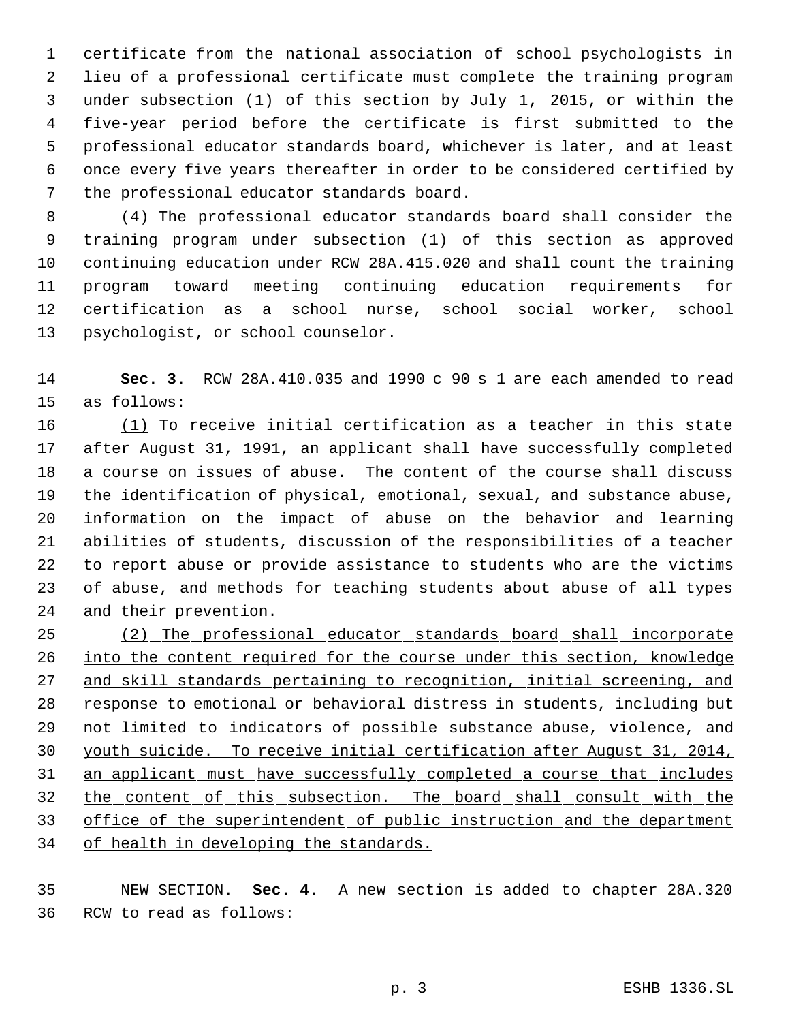certificate from the national association of school psychologists in lieu of a professional certificate must complete the training program under subsection (1) of this section by July 1, 2015, or within the five-year period before the certificate is first submitted to the professional educator standards board, whichever is later, and at least once every five years thereafter in order to be considered certified by the professional educator standards board.

 (4) The professional educator standards board shall consider the training program under subsection (1) of this section as approved continuing education under RCW 28A.415.020 and shall count the training program toward meeting continuing education requirements for certification as a school nurse, school social worker, school psychologist, or school counselor.

 **Sec. 3.** RCW 28A.410.035 and 1990 c 90 s 1 are each amended to read as follows:

 (1) To receive initial certification as a teacher in this state after August 31, 1991, an applicant shall have successfully completed a course on issues of abuse. The content of the course shall discuss the identification of physical, emotional, sexual, and substance abuse, information on the impact of abuse on the behavior and learning abilities of students, discussion of the responsibilities of a teacher to report abuse or provide assistance to students who are the victims of abuse, and methods for teaching students about abuse of all types and their prevention.

 (2) The professional educator standards board shall incorporate 26 into the content required for the course under this section, knowledge and skill standards pertaining to recognition, initial screening, and response to emotional or behavioral distress in students, including but 29 not limited to indicators of possible substance abuse, violence, and youth suicide. To receive initial certification after August 31, 2014, an applicant must have successfully completed a course that includes the content of this subsection. The board shall consult with the 33 office of the superintendent of public instruction and the department of health in developing the standards.

 NEW SECTION. **Sec. 4.** A new section is added to chapter 28A.320 RCW to read as follows: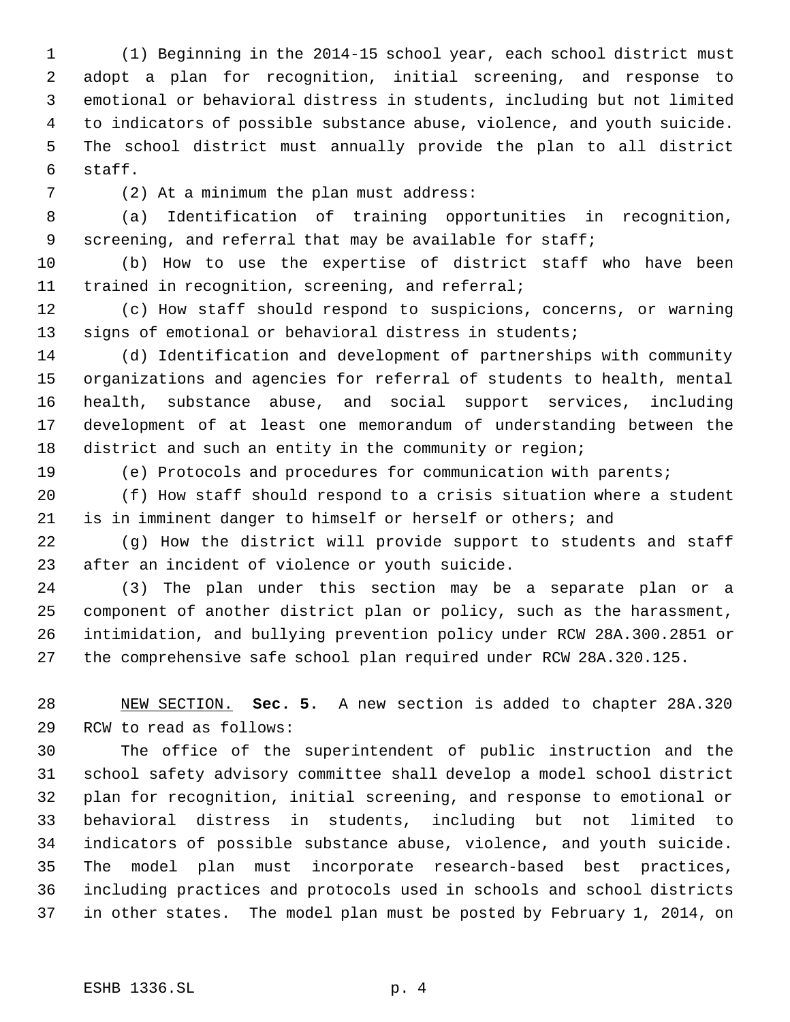(1) Beginning in the 2014-15 school year, each school district must adopt a plan for recognition, initial screening, and response to emotional or behavioral distress in students, including but not limited to indicators of possible substance abuse, violence, and youth suicide. The school district must annually provide the plan to all district staff.

(2) At a minimum the plan must address:

 (a) Identification of training opportunities in recognition, screening, and referral that may be available for staff;

 (b) How to use the expertise of district staff who have been trained in recognition, screening, and referral;

 (c) How staff should respond to suspicions, concerns, or warning signs of emotional or behavioral distress in students;

 (d) Identification and development of partnerships with community organizations and agencies for referral of students to health, mental health, substance abuse, and social support services, including development of at least one memorandum of understanding between the district and such an entity in the community or region;

(e) Protocols and procedures for communication with parents;

 (f) How staff should respond to a crisis situation where a student is in imminent danger to himself or herself or others; and

 (g) How the district will provide support to students and staff after an incident of violence or youth suicide.

 (3) The plan under this section may be a separate plan or a component of another district plan or policy, such as the harassment, intimidation, and bullying prevention policy under RCW 28A.300.2851 or the comprehensive safe school plan required under RCW 28A.320.125.

 NEW SECTION. **Sec. 5.** A new section is added to chapter 28A.320 RCW to read as follows:

 The office of the superintendent of public instruction and the school safety advisory committee shall develop a model school district plan for recognition, initial screening, and response to emotional or behavioral distress in students, including but not limited to indicators of possible substance abuse, violence, and youth suicide. The model plan must incorporate research-based best practices, including practices and protocols used in schools and school districts in other states. The model plan must be posted by February 1, 2014, on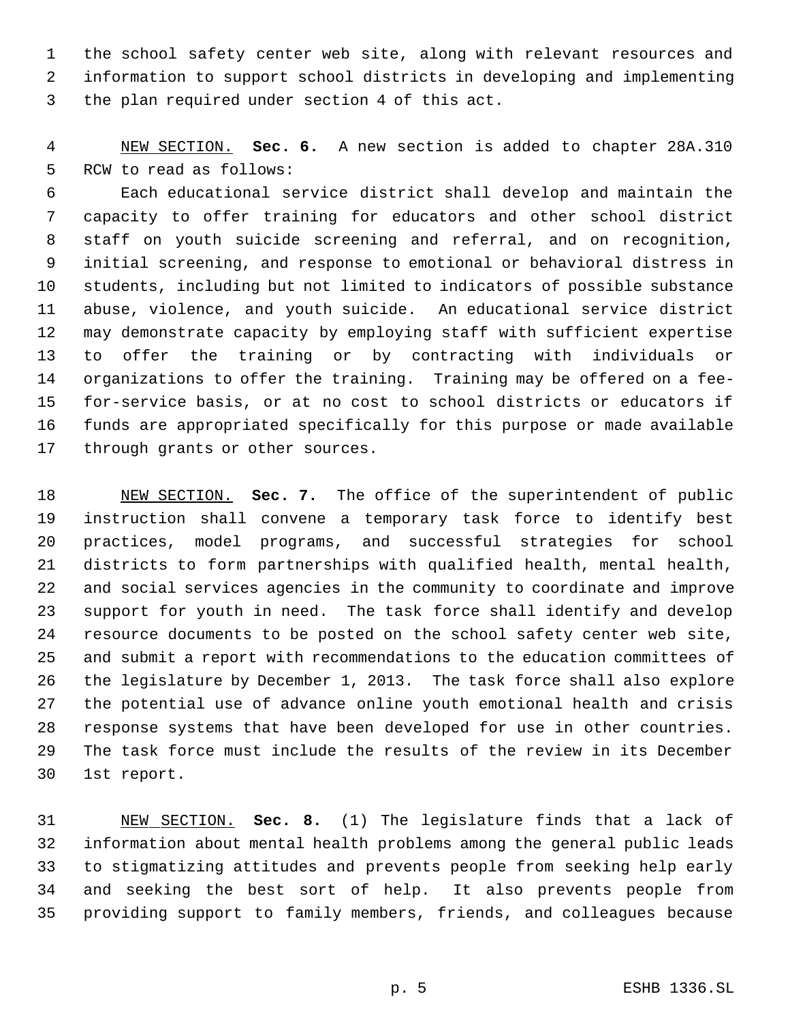the school safety center web site, along with relevant resources and information to support school districts in developing and implementing the plan required under section 4 of this act.

 NEW SECTION. **Sec. 6.** A new section is added to chapter 28A.310 RCW to read as follows:

 Each educational service district shall develop and maintain the capacity to offer training for educators and other school district staff on youth suicide screening and referral, and on recognition, initial screening, and response to emotional or behavioral distress in students, including but not limited to indicators of possible substance abuse, violence, and youth suicide. An educational service district may demonstrate capacity by employing staff with sufficient expertise to offer the training or by contracting with individuals or organizations to offer the training. Training may be offered on a fee- for-service basis, or at no cost to school districts or educators if funds are appropriated specifically for this purpose or made available through grants or other sources.

 NEW SECTION. **Sec. 7.** The office of the superintendent of public instruction shall convene a temporary task force to identify best practices, model programs, and successful strategies for school districts to form partnerships with qualified health, mental health, and social services agencies in the community to coordinate and improve support for youth in need. The task force shall identify and develop resource documents to be posted on the school safety center web site, and submit a report with recommendations to the education committees of the legislature by December 1, 2013. The task force shall also explore the potential use of advance online youth emotional health and crisis response systems that have been developed for use in other countries. The task force must include the results of the review in its December 1st report.

 NEW SECTION. **Sec. 8.** (1) The legislature finds that a lack of information about mental health problems among the general public leads to stigmatizing attitudes and prevents people from seeking help early and seeking the best sort of help. It also prevents people from providing support to family members, friends, and colleagues because